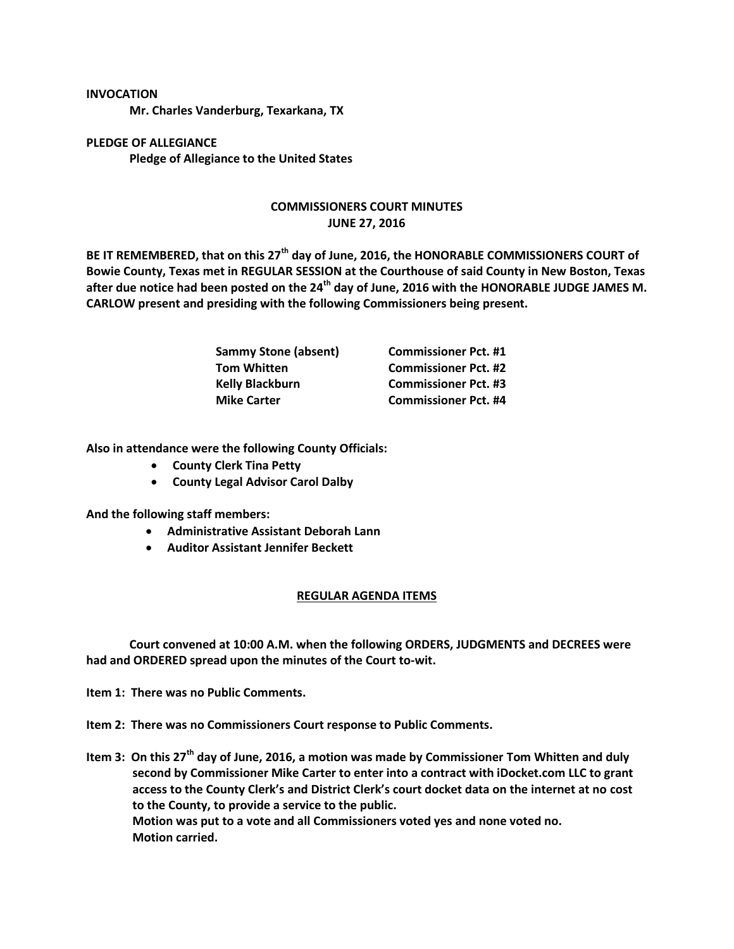## **INVOCATION**

**Mr. Charles Vanderburg, Texarkana, TX**

**PLEDGE OF ALLEGIANCE Pledge of Allegiance to the United States**

## **COMMISSIONERS COURT MINUTES JUNE 27, 2016**

**BE IT REMEMBERED, that on this 27th day of June, 2016, the HONORABLE COMMISSIONERS COURT of Bowie County, Texas met in REGULAR SESSION at the Courthouse of said County in New Boston, Texas after due notice had been posted on the 24th day of June, 2016 with the HONORABLE JUDGE JAMES M. CARLOW present and presiding with the following Commissioners being present.**

| <b>Sammy Stone (absent)</b> | <b>Commissioner Pct. #1</b> |
|-----------------------------|-----------------------------|
| <b>Tom Whitten</b>          | <b>Commissioner Pct. #2</b> |
| <b>Kelly Blackburn</b>      | <b>Commissioner Pct. #3</b> |
| <b>Mike Carter</b>          | <b>Commissioner Pct. #4</b> |

**Also in attendance were the following County Officials:**

- **County Clerk Tina Petty**
- **County Legal Advisor Carol Dalby**

**And the following staff members:**

- **Administrative Assistant Deborah Lann**
- **Auditor Assistant Jennifer Beckett**

## **REGULAR AGENDA ITEMS**

**Court convened at 10:00 A.M. when the following ORDERS, JUDGMENTS and DECREES were had and ORDERED spread upon the minutes of the Court to-wit.**

**Item 1: There was no Public Comments.**

**Item 2: There was no Commissioners Court response to Public Comments.**

**Item 3: On this 27th day of June, 2016, a motion was made by Commissioner Tom Whitten and duly second by Commissioner Mike Carter to enter into a contract with iDocket.com LLC to grant access to the County Clerk's and District Clerk's court docket data on the internet at no cost to the County, to provide a service to the public. Motion was put to a vote and all Commissioners voted yes and none voted no. Motion carried.**